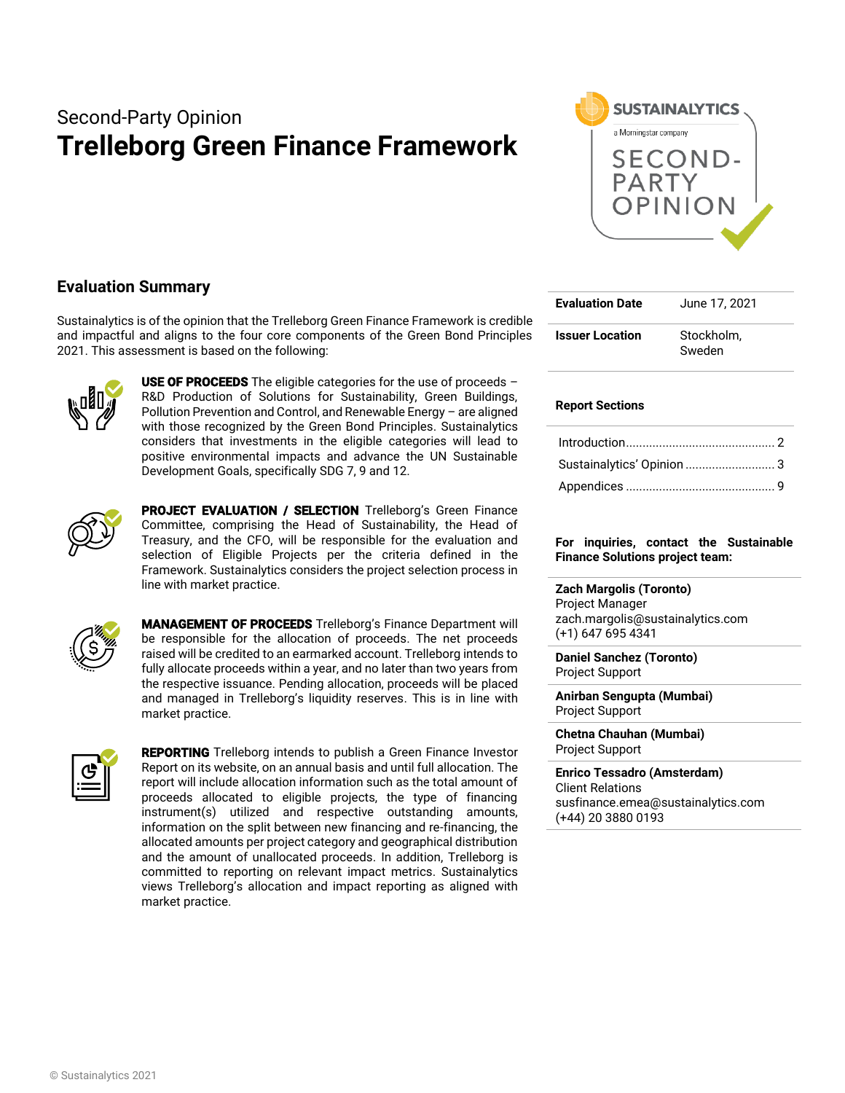# Second-Party Opinion **Trelleborg Green Finance Framework**



### **Evaluation Summary**

Sustainalytics is of the opinion that the Trelleborg Green Finance Framework is credible and impactful and aligns to the four core components of the Green Bond Principles 2021. This assessment is based on the following:



USE OF PROCEEDS The eligible categories for the use of proceeds  $-$ R&D Production of Solutions for Sustainability, Green Buildings, Pollution Prevention and Control, and Renewable Energy – are aligned with those recognized by the Green Bond Principles. Sustainalytics considers that investments in the eligible categories will lead to positive environmental impacts and advance the UN Sustainable Development Goals, specifically SDG 7, 9 and 12.



PROJECT EVALUATION / SELECTION Trelleborg's Green Finance Committee, comprising the Head of Sustainability, the Head of Treasury, and the CFO, will be responsible for the evaluation and selection of Eligible Projects per the criteria defined in the Framework. Sustainalytics considers the project selection process in line with market practice.



MANAGEMENT OF PROCEEDS Trelleborg's Finance Department will be responsible for the allocation of proceeds. The net proceeds raised will be credited to an earmarked account. Trelleborg intends to fully allocate proceeds within a year, and no later than two years from the respective issuance. Pending allocation, proceeds will be placed and managed in Trelleborg's liquidity reserves. This is in line with market practice.



REPORTING Trelleborg intends to publish a Green Finance Investor Report on its website, on an annual basis and until full allocation. The report will include allocation information such as the total amount of proceeds allocated to eligible projects, the type of financing instrument(s) utilized and respective outstanding amounts, information on the split between new financing and re-financing, the allocated amounts per project category and geographical distribution and the amount of unallocated proceeds. In addition, Trelleborg is committed to reporting on relevant impact metrics. Sustainalytics views Trelleborg's allocation and impact reporting as aligned with market practice.

| <b>Evaluation Date</b> | June 17, 2021        |  |  |  |
|------------------------|----------------------|--|--|--|
| <b>Issuer Location</b> | Stockholm.<br>Sweden |  |  |  |

### **Report Sections**

| Sustainalytics' Opinion  3 |  |
|----------------------------|--|
|                            |  |

#### **For inquiries, contact the Sustainable Finance Solutions project team:**

**Zach Margolis (Toronto)**  Project Manager

zach.margolis@sustainalytics.com (+1) 647 695 4341

**Daniel Sanchez (Toronto)** Project Support

**Anirban Sengupta (Mumbai)** Project Support

**Chetna Chauhan (Mumbai)** Project Support

**Enrico Tessadro (Amsterdam)** Client Relations susfinance.emea@sustainalytics.com (+44) 20 3880 0193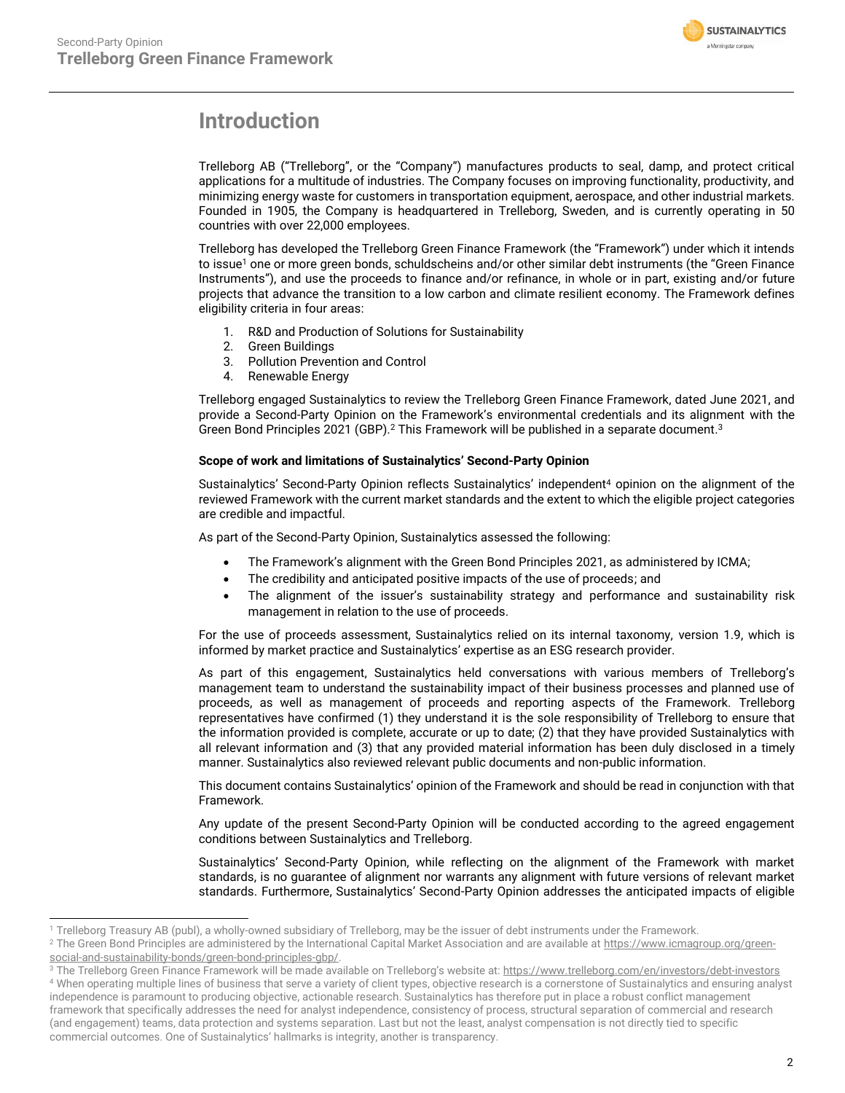

## <span id="page-1-0"></span>**Introduction**

Trelleborg AB ("Trelleborg", or the "Company") manufactures products to seal, damp, and protect critical applications for a multitude of industries. The Company focuses on improving functionality, productivity, and minimizing energy waste for customers in transportation equipment, aerospace, and other industrial markets. Founded in 1905, the Company is headquartered in Trelleborg, Sweden, and is currently operating in 50 countries with over 22,000 employees.

Trelleborg has developed the Trelleborg Green Finance Framework (the "Framework") under which it intends to issue<sup>1</sup> one or more green bonds, schuldscheins and/or other similar debt instruments (the "Green Finance Instruments"), and use the proceeds to finance and/or refinance, in whole or in part, existing and/or future projects that advance the transition to a low carbon and climate resilient economy. The Framework defines eligibility criteria in four areas:

- 1. R&D and Production of Solutions for Sustainability
- 2. Green Buildings
- 3. Pollution Prevention and Control
- 4. Renewable Energy

Trelleborg engaged Sustainalytics to review the Trelleborg Green Finance Framework, dated June 2021, and provide a Second-Party Opinion on the Framework's environmental credentials and its alignment with the Green Bond Principles 2021 (GBP).<sup>2</sup> This Framework will be published in a separate document.<sup>3</sup>

### **Scope of work and limitations of Sustainalytics' Second-Party Opinion**

Sustainalytics' Second-Party Opinion reflects Sustainalytics' independent<sup>4</sup> opinion on the alignment of the reviewed Framework with the current market standards and the extent to which the eligible project categories are credible and impactful.

As part of the Second-Party Opinion, Sustainalytics assessed the following:

- The Framework's alignment with the Green Bond Principles 2021, as administered by ICMA;
- The credibility and anticipated positive impacts of the use of proceeds; and
- The alignment of the issuer's sustainability strategy and performance and sustainability risk management in relation to the use of proceeds.

For the use of proceeds assessment, Sustainalytics relied on its internal taxonomy, version 1.9, which is informed by market practice and Sustainalytics' expertise as an ESG research provider.

As part of this engagement, Sustainalytics held conversations with various members of Trelleborg's management team to understand the sustainability impact of their business processes and planned use of proceeds, as well as management of proceeds and reporting aspects of the Framework. Trelleborg representatives have confirmed (1) they understand it is the sole responsibility of Trelleborg to ensure that the information provided is complete, accurate or up to date; (2) that they have provided Sustainalytics with all relevant information and (3) that any provided material information has been duly disclosed in a timely manner. Sustainalytics also reviewed relevant public documents and non-public information.

This document contains Sustainalytics' opinion of the Framework and should be read in conjunction with that Framework.

Any update of the present Second-Party Opinion will be conducted according to the agreed engagement conditions between Sustainalytics and Trelleborg.

Sustainalytics' Second-Party Opinion, while reflecting on the alignment of the Framework with market standards, is no guarantee of alignment nor warrants any alignment with future versions of relevant market standards. Furthermore, Sustainalytics' Second-Party Opinion addresses the anticipated impacts of eligible

<sup>1</sup> Trelleborg Treasury AB (publ), a wholly-owned subsidiary of Trelleborg, may be the issuer of debt instruments under the Framework.

<sup>&</sup>lt;sup>2</sup> The Green Bond Principles are administered by the International Capital Market Association and are available a[t https://www.icmagroup.org/green](https://www.icmagroup.org/green-social-and-sustainability-bonds/green-bond-principles-gbp/)[social-and-sustainability-bonds/green-bond-principles-gbp/.](https://www.icmagroup.org/green-social-and-sustainability-bonds/green-bond-principles-gbp/)

<sup>&</sup>lt;sup>3</sup> The Trelleborg Green Finance Framework will be made available on Trelleborg's website at: <https://www.trelleborg.com/en/investors/debt-investors> <sup>4</sup> When operating multiple lines of business that serve a variety of client types, objective research is a cornerstone of Sustainalytics and ensuring analyst independence is paramount to producing objective, actionable research. Sustainalytics has therefore put in place a robust conflict management framework that specifically addresses the need for analyst independence, consistency of process, structural separation of commercial and research (and engagement) teams, data protection and systems separation. Last but not the least, analyst compensation is not directly tied to specific commercial outcomes. One of Sustainalytics' hallmarks is integrity, another is transparency.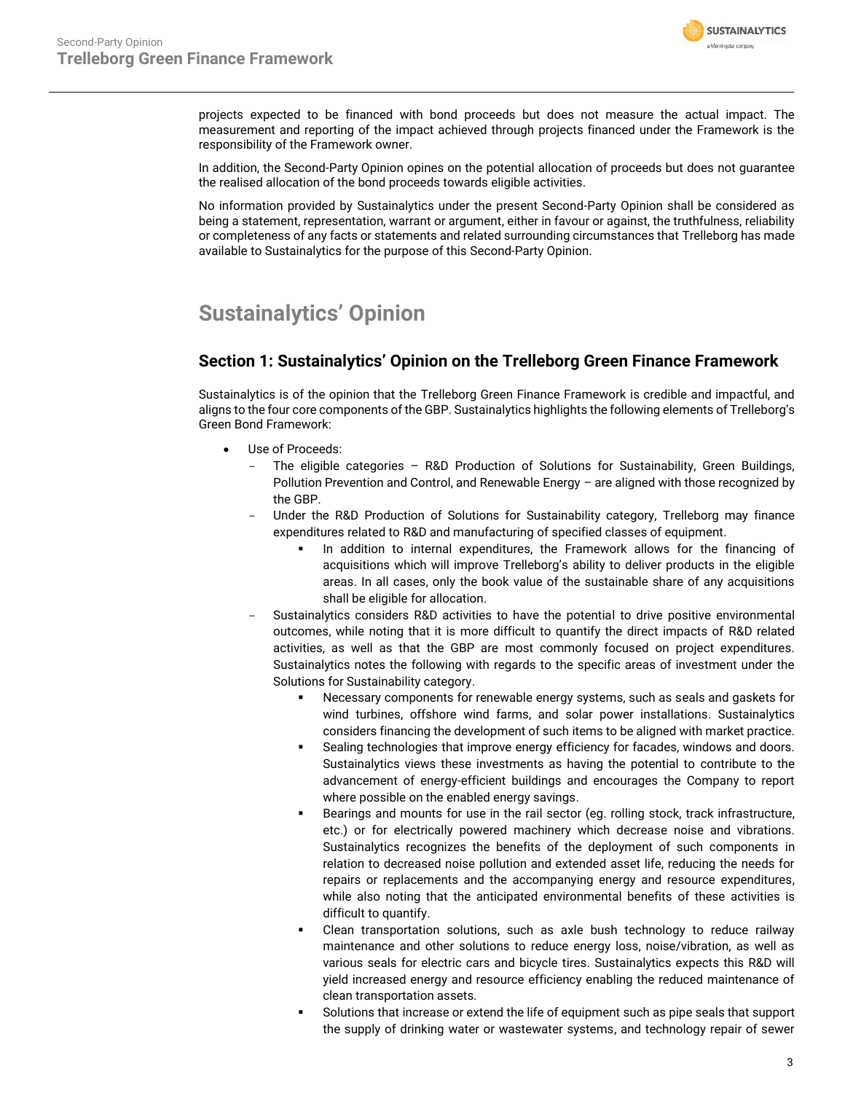

projects expected to be financed with bond proceeds but does not measure the actual impact. The measurement and reporting of the impact achieved through projects financed under the Framework is the responsibility of the Framework owner.

In addition, the Second-Party Opinion opines on the potential allocation of proceeds but does not guarantee the realised allocation of the bond proceeds towards eligible activities.

No information provided by Sustainalytics under the present Second-Party Opinion shall be considered as being a statement, representation, warrant or argument, either in favour or against, the truthfulness, reliability or completeness of any facts or statements and related surrounding circumstances that Trelleborg has made available to Sustainalytics for the purpose of this Second-Party Opinion.

## <span id="page-2-0"></span>**Sustainalytics' Opinion**

### **Section 1: Sustainalytics' Opinion on the Trelleborg Green Finance Framework**

Sustainalytics is of the opinion that the Trelleborg Green Finance Framework is credible and impactful, and aligns to the four core components of the GBP. Sustainalytics highlights the following elements of Trelleborg's Green Bond Framework:

- Use of Proceeds:
	- The eligible categories R&D Production of Solutions for Sustainability, Green Buildings, Pollution Prevention and Control, and Renewable Energy – are aligned with those recognized by the GBP.
	- Under the R&D Production of Solutions for Sustainability category, Trelleborg may finance expenditures related to R&D and manufacturing of specified classes of equipment.
		- In addition to internal expenditures, the Framework allows for the financing of acquisitions which will improve Trelleborg's ability to deliver products in the eligible areas. In all cases, only the book value of the sustainable share of any acquisitions shall be eligible for allocation.
	- Sustainalytics considers R&D activities to have the potential to drive positive environmental outcomes, while noting that it is more difficult to quantify the direct impacts of R&D related activities, as well as that the GBP are most commonly focused on project expenditures. Sustainalytics notes the following with regards to the specific areas of investment under the Solutions for Sustainability category.
		- Necessary components for renewable energy systems, such as seals and gaskets for wind turbines, offshore wind farms, and solar power installations. Sustainalytics considers financing the development of such items to be aligned with market practice.
		- Sealing technologies that improve energy efficiency for facades, windows and doors. Sustainalytics views these investments as having the potential to contribute to the advancement of energy-efficient buildings and encourages the Company to report where possible on the enabled energy savings.
		- Bearings and mounts for use in the rail sector (eg. rolling stock, track infrastructure, etc.) or for electrically powered machinery which decrease noise and vibrations. Sustainalytics recognizes the benefits of the deployment of such components in relation to decreased noise pollution and extended asset life, reducing the needs for repairs or replacements and the accompanying energy and resource expenditures, while also noting that the anticipated environmental benefits of these activities is difficult to quantify.
		- Clean transportation solutions, such as axle bush technology to reduce railway maintenance and other solutions to reduce energy loss, noise/vibration, as well as various seals for electric cars and bicycle tires. Sustainalytics expects this R&D will yield increased energy and resource efficiency enabling the reduced maintenance of clean transportation assets.
		- Solutions that increase or extend the life of equipment such as pipe seals that support the supply of drinking water or wastewater systems, and technology repair of sewer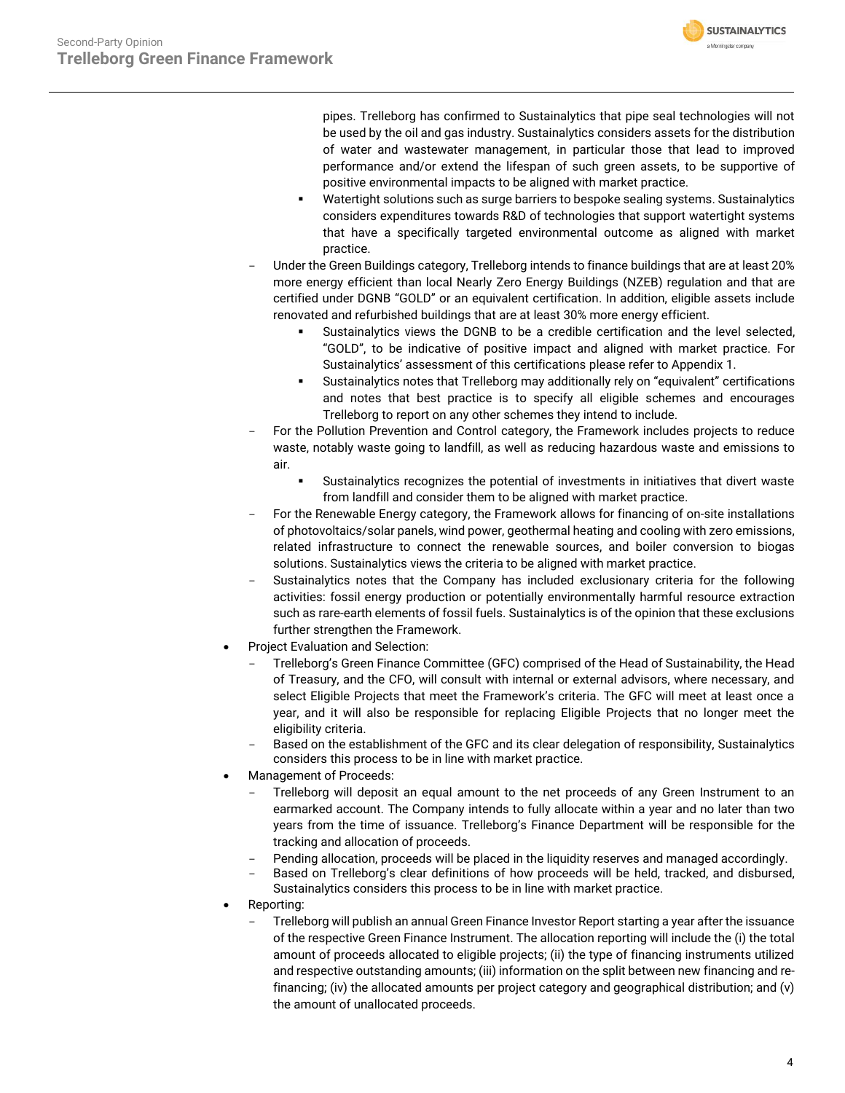pipes. Trelleborg has confirmed to Sustainalytics that pipe seal technologies will not be used by the oil and gas industry. Sustainalytics considers assets for the distribution of water and wastewater management, in particular those that lead to improved performance and/or extend the lifespan of such green assets, to be supportive of positive environmental impacts to be aligned with market practice.

**SUSTAINALYTICS** a Morningstar company

- Watertight solutions such as surge barriers to bespoke sealing systems. Sustainalytics considers expenditures towards R&D of technologies that support watertight systems that have a specifically targeted environmental outcome as aligned with market practice.
- Under the Green Buildings category, Trelleborg intends to finance buildings that are at least 20% more energy efficient than local Nearly Zero Energy Buildings (NZEB) regulation and that are certified under DGNB "GOLD" or an equivalent certification. In addition, eligible assets include renovated and refurbished buildings that are at least 30% more energy efficient.
	- Sustainalytics views the DGNB to be a credible certification and the level selected, "GOLD", to be indicative of positive impact and aligned with market practice. For Sustainalytics' assessment of this certifications please refer to Appendix 1.
	- Sustainalytics notes that Trelleborg may additionally rely on "equivalent" certifications and notes that best practice is to specify all eligible schemes and encourages Trelleborg to report on any other schemes they intend to include.
- For the Pollution Prevention and Control category, the Framework includes projects to reduce waste, notably waste going to landfill, as well as reducing hazardous waste and emissions to air.
	- Sustainalytics recognizes the potential of investments in initiatives that divert waste from landfill and consider them to be aligned with market practice.
- For the Renewable Energy category, the Framework allows for financing of on-site installations of photovoltaics/solar panels, wind power, geothermal heating and cooling with zero emissions, related infrastructure to connect the renewable sources, and boiler conversion to biogas solutions. Sustainalytics views the criteria to be aligned with market practice.
- Sustainalytics notes that the Company has included exclusionary criteria for the following activities: fossil energy production or potentially environmentally harmful resource extraction such as rare-earth elements of fossil fuels. Sustainalytics is of the opinion that these exclusions further strengthen the Framework.
- Project Evaluation and Selection:
	- Trelleborg's Green Finance Committee (GFC) comprised of the Head of Sustainability, the Head of Treasury, and the CFO, will consult with internal or external advisors, where necessary, and select Eligible Projects that meet the Framework's criteria. The GFC will meet at least once a year, and it will also be responsible for replacing Eligible Projects that no longer meet the eligibility criteria.
	- Based on the establishment of the GFC and its clear delegation of responsibility, Sustainalytics considers this process to be in line with market practice.
- Management of Proceeds:
	- Trelleborg will deposit an equal amount to the net proceeds of any Green Instrument to an earmarked account. The Company intends to fully allocate within a year and no later than two years from the time of issuance. Trelleborg's Finance Department will be responsible for the tracking and allocation of proceeds.
	- Pending allocation, proceeds will be placed in the liquidity reserves and managed accordingly.
	- Based on Trelleborg's clear definitions of how proceeds will be held, tracked, and disbursed,
	- Sustainalytics considers this process to be in line with market practice.
- Reporting:
	- Trelleborg will publish an annual Green Finance Investor Report starting a year after the issuance of the respective Green Finance Instrument. The allocation reporting will include the (i) the total amount of proceeds allocated to eligible projects; (ii) the type of financing instruments utilized and respective outstanding amounts; (iii) information on the split between new financing and refinancing; (iv) the allocated amounts per project category and geographical distribution; and (v) the amount of unallocated proceeds.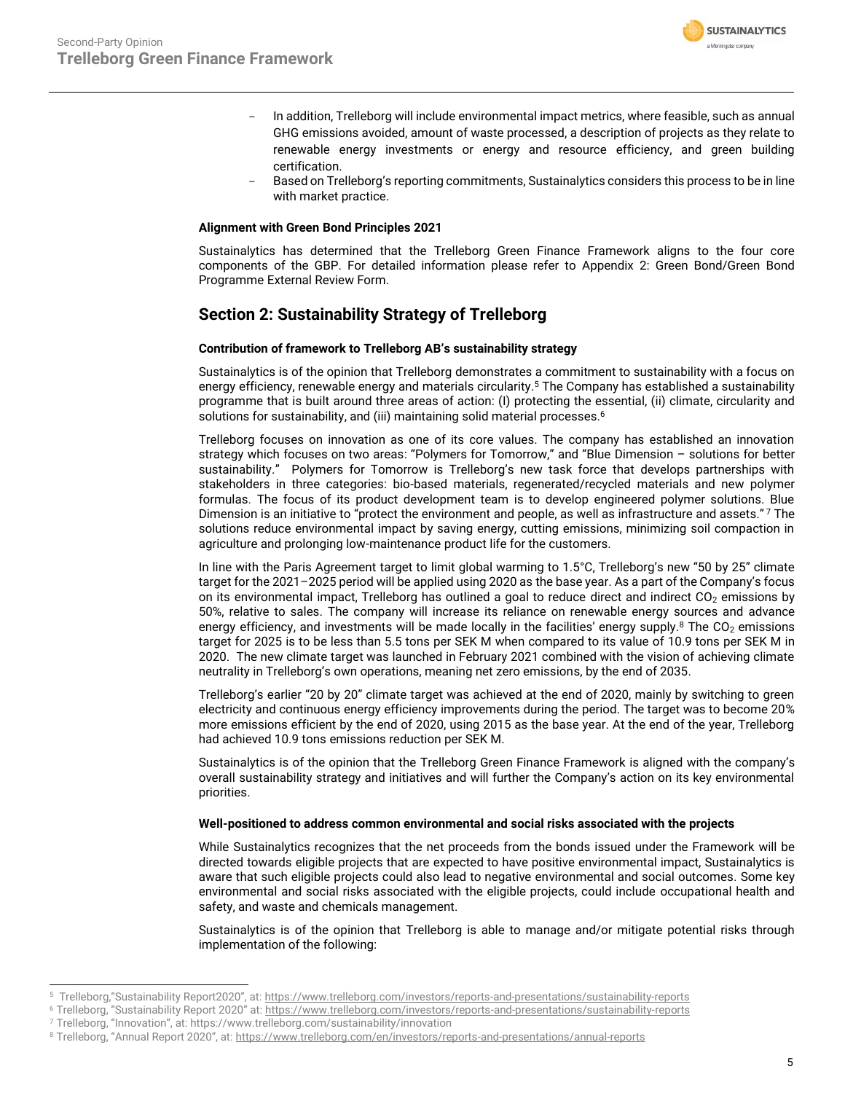

- In addition, Trelleborg will include environmental impact metrics, where feasible, such as annual GHG emissions avoided, amount of waste processed, a description of projects as they relate to renewable energy investments or energy and resource efficiency, and green building certification.
- Based on Trelleborg's reporting commitments, Sustainalytics considers this process to be in line with market practice.

### **Alignment with Green Bond Principles 2021**

Sustainalytics has determined that the Trelleborg Green Finance Framework aligns to the four core components of the GBP. For detailed information please refer to Appendix 2: Green Bond/Green Bond Programme External Review Form.

### **Section 2: Sustainability Strategy of Trelleborg**

### **Contribution of framework to Trelleborg AB's sustainability strategy**

Sustainalytics is of the opinion that Trelleborg demonstrates a commitment to sustainability with a focus on energy efficiency, renewable energy and materials circularity. <sup>5</sup> The Company has established a sustainability programme that is built around three areas of action: (I) protecting the essential, (ii) climate, circularity and solutions for sustainability, and (iii) maintaining solid material processes.<sup>6</sup>

Trelleborg focuses on innovation as one of its core values. The company has established an innovation strategy which focuses on two areas: "Polymers for Tomorrow," and "Blue Dimension – solutions for better sustainability." Polymers for Tomorrow is Trelleborg's new task force that develops partnerships with stakeholders in three categories: bio-based materials, regenerated/recycled materials and new polymer formulas. The focus of its product development team is to develop engineered polymer solutions. Blue Dimension is an initiative to "protect the environment and people, as well as infrastructure and assets." <sup>7</sup> The solutions reduce environmental impact by saving energy, cutting emissions, minimizing soil compaction in agriculture and prolonging low-maintenance product life for the customers.

In line with the Paris Agreement target to limit global warming to 1.5°C, Trelleborg's new "50 by 25" climate target for the 2021–2025 period will be applied using 2020 as the base year. As a part of the Company's focus on its environmental impact, Trelleborg has outlined a goal to reduce direct and indirect  $CO<sub>2</sub>$  emissions by 50%, relative to sales. The company will increase its reliance on renewable energy sources and advance energy efficiency, and investments will be made locally in the facilities' energy supply.<sup>8</sup> The  $CO<sub>2</sub>$  emissions target for 2025 is to be less than 5.5 tons per SEK M when compared to its value of 10.9 tons per SEK M in 2020. The new climate target was launched in February 2021 combined with the vision of achieving climate neutrality in Trelleborg's own operations, meaning net zero emissions, by the end of 2035.

Trelleborg's earlier "20 by 20" climate target was achieved at the end of 2020, mainly by switching to green electricity and continuous energy efficiency improvements during the period. The target was to become 20% more emissions efficient by the end of 2020, using 2015 as the base year. At the end of the year, Trelleborg had achieved 10.9 tons emissions reduction per SEK M.

Sustainalytics is of the opinion that the Trelleborg Green Finance Framework is aligned with the company's overall sustainability strategy and initiatives and will further the Company's action on its key environmental priorities.

### **Well-positioned to address common environmental and social risks associated with the projects**

While Sustainalytics recognizes that the net proceeds from the bonds issued under the Framework will be directed towards eligible projects that are expected to have positive environmental impact, Sustainalytics is aware that such eligible projects could also lead to negative environmental and social outcomes. Some key environmental and social risks associated with the eligible projects, could include occupational health and safety, and waste and chemicals management.

Sustainalytics is of the opinion that Trelleborg is able to manage and/or mitigate potential risks through implementation of the following:

<sup>5</sup> Trelleborg,"Sustainability Report2020", at: <https://www.trelleborg.com/investors/reports-and-presentations/sustainability-reports>

<sup>6</sup> Trelleborg, "Sustainability Report 2020" at: <https://www.trelleborg.com/investors/reports-and-presentations/sustainability-reports>

<sup>7</sup> Trelleborg, "Innovation", at: https://www.trelleborg.com/sustainability/innovation

<sup>8</sup> Trelleborg, "Annual Report 2020", at: <https://www.trelleborg.com/en/investors/reports-and-presentations/annual-reports>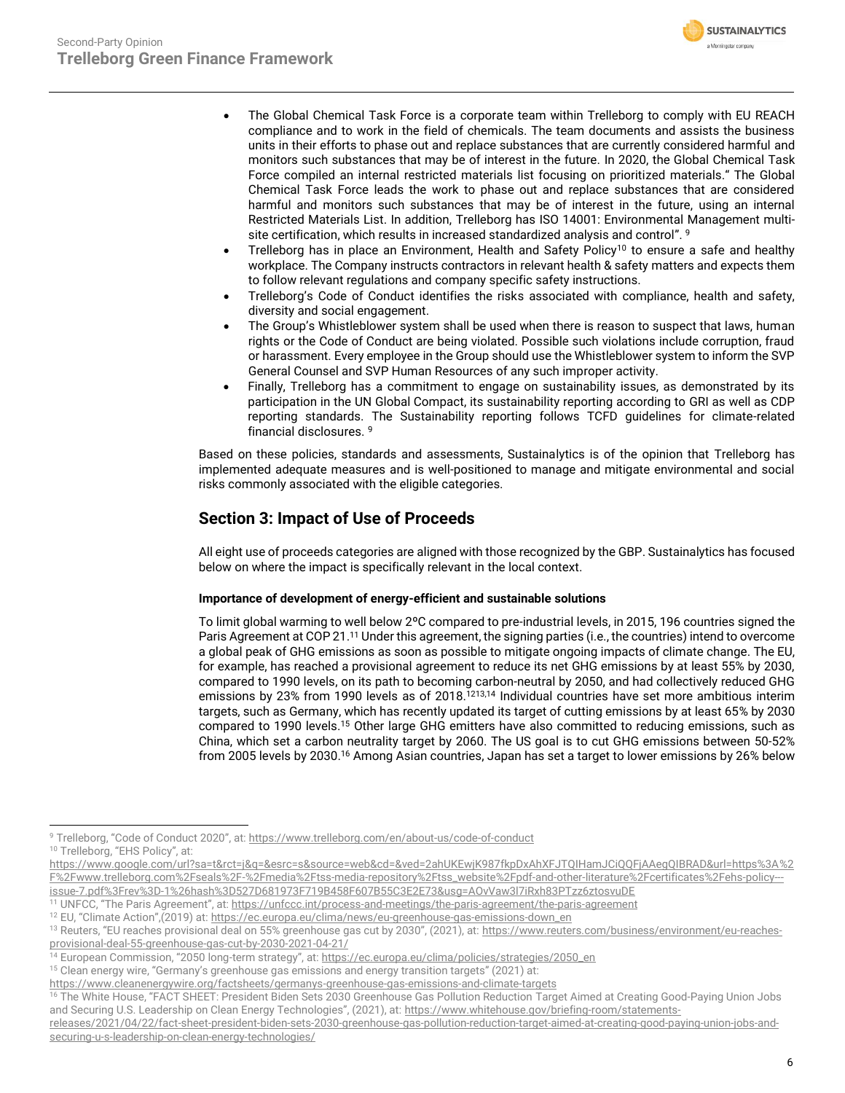<span id="page-5-0"></span>

- The Global Chemical Task Force is a corporate team within Trelleborg to comply with EU REACH compliance and to work in the field of chemicals. The team documents and assists the business units in their efforts to phase out and replace substances that are currently considered harmful and monitors such substances that may be of interest in the future. In 2020, the Global Chemical Task Force compiled an internal restricted materials list focusing on prioritized materials." The Global Chemical Task Force leads the work to phase out and replace substances that are considered harmful and monitors such substances that may be of interest in the future, using an internal Restricted Materials List. In addition, Trelleborg has ISO 14001: Environmental Management multisite certification, which results in increased standardized analysis and control". 9
- Trelleborg has in place an Environment, Health and Safety Policy<sup>10</sup> to ensure a safe and healthy workplace. The Company instructs contractors in relevant health & safety matters and expects them to follow relevant regulations and company specific safety instructions.
- Trelleborg's Code of Conduct identifies the risks associated with compliance, health and safety, diversity and social engagement.
- The Group's Whistleblower system shall be used when there is reason to suspect that laws, human rights or the Code of Conduct are being violated. Possible such violations include corruption, fraud or harassment. Every employee in the Group should use the Whistleblower system to inform the SVP General Counsel and SVP Human Resources of any such improper activity.
- Finally, Trelleborg has a commitment to engage on sustainability issues, as demonstrated by its participation in the UN Global Compact, its sustainability reporting according to GRI as well as CDP reporting standards. The Sustainability reporting follows TCFD guidelines for climate-related financial disclosures[.](#page-5-0) <sup>9</sup>

Based on these policies, standards and assessments, Sustainalytics is of the opinion that Trelleborg has implemented adequate measures and is well-positioned to manage and mitigate environmental and social risks commonly associated with the eligible categories.

### **Section 3: Impact of Use of Proceeds**

All eight use of proceeds categories are aligned with those recognized by the GBP. Sustainalytics has focused below on where the impact is specifically relevant in the local context.

### **Importance of development of energy-efficient and sustainable solutions**

To limit global warming to well below 2ºC compared to pre-industrial levels, in 2015, 196 countries signed the Paris Agreement at COP 21. <sup>11</sup> Under this agreement, the signing parties (i.e., the countries) intend to overcome a global peak of GHG emissions as soon as possible to mitigate ongoing impacts of climate change. The EU, for example, has reached a provisional agreement to reduce its net GHG emissions by at least 55% by 2030, compared to 1990 levels, on its path to becoming carbon-neutral by 2050, and had collectively reduced GHG emissions by 23% from 1990 levels as of 2018.<sup>1213,14</sup> Individual countries have set more ambitious interim targets, such as Germany, which has recently updated its target of cutting emissions by at least 65% by 2030 compared to 1990 levels.<sup>15</sup> Other large GHG emitters have also committed to reducing emissions, such as China, which set a carbon neutrality target by 2060. The US goal is to cut GHG emissions between 50-52% from 2005 levels by 2030. <sup>16</sup> Among Asian countries, Japan has set a target to lower emissions by 26% below

<sup>9</sup> Trelleborg, "Code of Conduct 2020", at: <https://www.trelleborg.com/en/about-us/code-of-conduct> 10 Trelleborg, "EHS Policy", at:

[https://www.google.com/url?sa=t&rct=j&q=&esrc=s&source=web&cd=&ved=2ahUKEwjK987fkpDxAhXFJTQIHamJCiQQFjAAegQIBRAD&url=https%3A%2](https://www.google.com/url?sa=t&rct=j&q=&esrc=s&source=web&cd=&ved=2ahUKEwjK987fkpDxAhXFJTQIHamJCiQQFjAAegQIBRAD&url=https%3A%2F%2Fwww.trelleborg.com%2Fseals%2F-%2Fmedia%2Ftss-media-repository%2Ftss_website%2Fpdf-and-other-literature%2Fcertificates%2Fehs-policy---issue-7.pdf%3Frev%3D-1%26hash%3D527D681973F719B458F607B55C3E2E73&usg=AOvVaw3l7iRxh83PTzz6ztosvuDE) [F%2Fwww.trelleborg.com%2Fseals%2F-%2Fmedia%2Ftss-media-repository%2Ftss\\_website%2Fpdf-and-other-literature%2Fcertificates%2Fehs-policy--](https://www.google.com/url?sa=t&rct=j&q=&esrc=s&source=web&cd=&ved=2ahUKEwjK987fkpDxAhXFJTQIHamJCiQQFjAAegQIBRAD&url=https%3A%2F%2Fwww.trelleborg.com%2Fseals%2F-%2Fmedia%2Ftss-media-repository%2Ftss_website%2Fpdf-and-other-literature%2Fcertificates%2Fehs-policy---issue-7.pdf%3Frev%3D-1%26hash%3D527D681973F719B458F607B55C3E2E73&usg=AOvVaw3l7iRxh83PTzz6ztosvuDE) [issue-7.pdf%3Frev%3D-1%26hash%3D527D681973F719B458F607B55C3E2E73&usg=AOvVaw3l7iRxh83PTzz6ztosvuDE](https://www.google.com/url?sa=t&rct=j&q=&esrc=s&source=web&cd=&ved=2ahUKEwjK987fkpDxAhXFJTQIHamJCiQQFjAAegQIBRAD&url=https%3A%2F%2Fwww.trelleborg.com%2Fseals%2F-%2Fmedia%2Ftss-media-repository%2Ftss_website%2Fpdf-and-other-literature%2Fcertificates%2Fehs-policy---issue-7.pdf%3Frev%3D-1%26hash%3D527D681973F719B458F607B55C3E2E73&usg=AOvVaw3l7iRxh83PTzz6ztosvuDE)

<sup>&</sup>lt;sup>11</sup> UNFCC, "The Paris Agreement", at: <https://unfccc.int/process-and-meetings/the-paris-agreement/the-paris-agreement>

<sup>&</sup>lt;sup>12</sup> EU, "Climate Action",(2019) at: [https://ec.europa.eu/clima/news/eu-greenhouse-gas-emissions-down\\_en](https://ec.europa.eu/clima/news/eu-greenhouse-gas-emissions-down_en)

<sup>&</sup>lt;sup>13</sup> Reuters, "EU reaches provisional deal on 55% greenhouse gas cut by 2030", (2021), at: [https://www.reuters.com/business/environment/eu-reaches](https://www.reuters.com/business/environment/eu-reaches-provisional-deal-55-greenhouse-gas-cut-by-2030-2021-04-21/)[provisional-deal-55-greenhouse-gas-cut-by-2030-2021-04-21/](https://www.reuters.com/business/environment/eu-reaches-provisional-deal-55-greenhouse-gas-cut-by-2030-2021-04-21/)

<sup>&</sup>lt;sup>14</sup> European Commission, "2050 long-term strategy", at: <u>[https://ec.europa.eu/clima/policies/strategies/2050\\_en](https://ec.europa.eu/clima/policies/strategies/2050_en)</u>

<sup>&</sup>lt;sup>15</sup> Clean energy wire, "Germany's greenhouse gas emissions and energy transition targets" (2021) at:

<https://www.cleanenergywire.org/factsheets/germanys-greenhouse-gas-emissions-and-climate-targets>

<sup>&</sup>lt;sup>16</sup> The White House, "FACT SHEET: President Biden Sets 2030 Greenhouse Gas Pollution Reduction Target Aimed at Creating Good-Paying Union Jobs and Securing U.S. Leadership on Clean Energy Technologies", (2021), at: [https://www.whitehouse.gov/briefing-room/statements-](https://www.whitehouse.gov/briefing-room/statements-releases/2021/04/22/fact-sheet-president-biden-sets-2030-greenhouse-gas-pollution-reduction-target-aimed-at-creating-good-paying-union-jobs-and-securing-u-s-leadership-on-clean-energy-technologies/)

[releases/2021/04/22/fact-sheet-president-biden-sets-2030-greenhouse-gas-pollution-reduction-target-aimed-at-creating-good-paying-union-jobs-and](https://www.whitehouse.gov/briefing-room/statements-releases/2021/04/22/fact-sheet-president-biden-sets-2030-greenhouse-gas-pollution-reduction-target-aimed-at-creating-good-paying-union-jobs-and-securing-u-s-leadership-on-clean-energy-technologies/)[securing-u-s-leadership-on-clean-energy-technologies/](https://www.whitehouse.gov/briefing-room/statements-releases/2021/04/22/fact-sheet-president-biden-sets-2030-greenhouse-gas-pollution-reduction-target-aimed-at-creating-good-paying-union-jobs-and-securing-u-s-leadership-on-clean-energy-technologies/)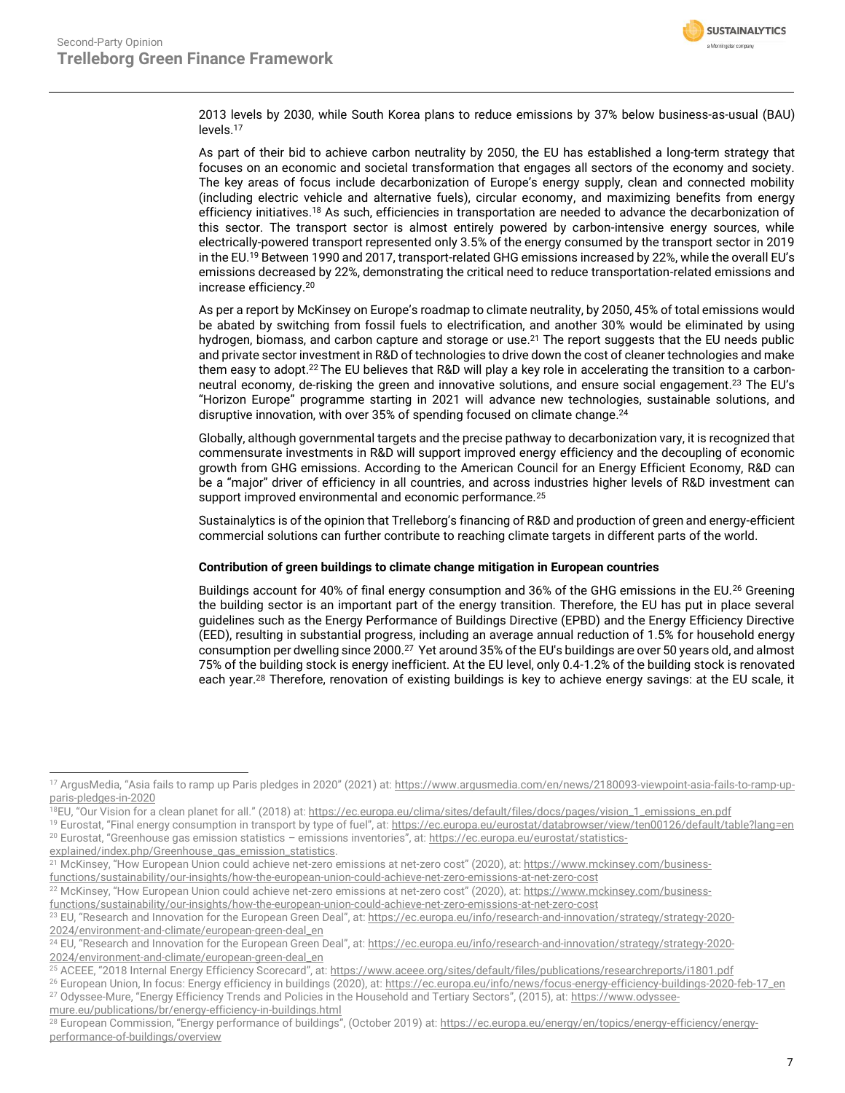

2013 levels by 2030, while South Korea plans to reduce emissions by 37% below business-as-usual (BAU) levels. 17

As part of their bid to achieve carbon neutrality by 2050, the EU has established a long-term strategy that focuses on an economic and societal transformation that engages all sectors of the economy and society. The key areas of focus include decarbonization of Europe's energy supply, clean and connected mobility (including electric vehicle and alternative fuels), circular economy, and maximizing benefits from energy efficiency initiatives.<sup>18</sup> As such, efficiencies in transportation are needed to advance the decarbonization of this sector. The transport sector is almost entirely powered by carbon-intensive energy sources, while electrically-powered transport represented only 3.5% of the energy consumed by the transport sector in 2019 in the EU. <sup>19</sup> Between 1990 and 2017, transport-related GHG emissions increased by 22%, while the overall EU's emissions decreased by 22%, demonstrating the critical need to reduce transportation-related emissions and increase efficiency. 20

As per a report by McKinsey on Europe's roadmap to climate neutrality, by 2050, 45% of total emissions would be abated by switching from fossil fuels to electrification, and another 30% would be eliminated by using hydrogen, biomass, and carbon capture and storage or use.<sup>21</sup> The report suggests that the EU needs public and private sector investment in R&D of technologies to drive down the cost of cleaner technologies and make them easy to adopt. <sup>22</sup> The EU believes that R&D will play a key role in accelerating the transition to a carbonneutral economy, de-risking the green and innovative solutions, and ensure social engagement.<sup>23</sup> The EU's "Horizon Europe" programme starting in 2021 will advance new technologies, sustainable solutions, and disruptive innovation, with over 35% of spending focused on climate change. 24

Globally, although governmental targets and the precise pathway to decarbonization vary, it is recognized that commensurate investments in R&D will support improved energy efficiency and the decoupling of economic growth from GHG emissions. According to the American Council for an Energy Efficient Economy, R&D can be a "major" driver of efficiency in all countries, and across industries higher levels of R&D investment can support improved environmental and economic performance.<sup>25</sup>

Sustainalytics is of the opinion that Trelleborg's financing of R&D and production of green and energy-efficient commercial solutions can further contribute to reaching climate targets in different parts of the world.

### **Contribution of green buildings to climate change mitigation in European countries**

Buildings account for 40% of final energy consumption and 36% of the GHG emissions in the EU.<sup>26</sup> Greening the building sector is an important part of the energy transition. Therefore, the EU has put in place several guidelines such as the Energy Performance of Buildings Directive (EPBD) and the Energy Efficiency Directive (EED), resulting in substantial progress, including an average annual reduction of 1.5% for household energy consumption per dwelling since 2000.<sup>27</sup> Yet around 35% of the EU's buildings are over 50 years old, and almost 75% of the building stock is energy inefficient. At the EU level, only 0.4-1.2% of the building stock is renovated each year.<sup>28</sup> Therefore, renovation of existing buildings is key to achieve energy savings: at the EU scale, it

<sup>&</sup>lt;sup>17</sup> ArgusMedia, "Asia fails to ramp up Paris pledges in 2020" (2021) at: [https://www.argusmedia.com/en/news/2180093-viewpoint-asia-fails-to-ramp-up](https://www.argusmedia.com/en/news/2180093-viewpoint-asia-fails-to-ramp-up-paris-pledges-in-2020)[paris-pledges-in-2020](https://www.argusmedia.com/en/news/2180093-viewpoint-asia-fails-to-ramp-up-paris-pledges-in-2020)

<sup>&</sup>lt;sup>18</sup>EU, "Our Vision for a clean planet for all." (2018) at[: https://ec.europa.eu/clima/sites/default/files/docs/pages/vision\\_1\\_emissions\\_en.pdf](https://ec.europa.eu/clima/sites/default/files/docs/pages/vision_1_emissions_en.pdf)

<sup>&</sup>lt;sup>19</sup> Eurostat, "Final energy consumption in transport by type of fuel", at: <https://ec.europa.eu/eurostat/databrowser/view/ten00126/default/table?lang=en> <sup>20</sup> Eurostat, "Greenhouse gas emission statistics – emissions inventories", at: [https://ec.europa.eu/eurostat/statistics-](https://ec.europa.eu/eurostat/statistics-explained/index.php/Greenhouse_gas_emission_statistics)

[explained/index.php/Greenhouse\\_gas\\_emission\\_statistics.](https://ec.europa.eu/eurostat/statistics-explained/index.php/Greenhouse_gas_emission_statistics)

<sup>&</sup>lt;sup>21</sup> McKinsey, "How European Union could achieve net-zero emissions at net-zero cost" (2020), at: [https://www.mckinsey.com/business-](https://www.mckinsey.com/business-functions/sustainability/our-insights/how-the-european-union-could-achieve-net-zero-emissions-at-net-zero-cost)

[functions/sustainability/our-insights/how-the-european-union-could-achieve-net-zero-emissions-at-net-zero-cost](https://www.mckinsey.com/business-functions/sustainability/our-insights/how-the-european-union-could-achieve-net-zero-emissions-at-net-zero-cost)

<sup>&</sup>lt;sup>22</sup> McKinsey, "How European Union could achieve net-zero emissions at net-zero cost" (2020), at: [https://www.mckinsey.com/business](https://www.mckinsey.com/business-functions/sustainability/our-insights/how-the-european-union-could-achieve-net-zero-emissions-at-net-zero-cost)[functions/sustainability/our-insights/how-the-european-union-could-achieve-net-zero-emissions-at-net-zero-cost](https://www.mckinsey.com/business-functions/sustainability/our-insights/how-the-european-union-could-achieve-net-zero-emissions-at-net-zero-cost)

<sup>&</sup>lt;sup>23</sup> EU, "Research and Innovation for the European Green Deal", at[: https://ec.europa.eu/info/research-and-innovation/strategy/strategy-2020-](https://ec.europa.eu/info/research-and-innovation/strategy/strategy-2020-2024/environment-and-climate/european-green-deal_en) [2024/environment-and-climate/european-green-deal\\_en](https://ec.europa.eu/info/research-and-innovation/strategy/strategy-2020-2024/environment-and-climate/european-green-deal_en)

<sup>&</sup>lt;sup>24</sup> EU, "Research and Innovation for the European Green Deal", at: [https://ec.europa.eu/info/research-and-innovation/strategy/strategy-2020-](https://ec.europa.eu/info/research-and-innovation/strategy/strategy-2020-2024/environment-and-climate/european-green-deal_en) [2024/environment-and-climate/european-green-deal\\_en](https://ec.europa.eu/info/research-and-innovation/strategy/strategy-2020-2024/environment-and-climate/european-green-deal_en)

<sup>&</sup>lt;sup>25</sup> ACEEE, "2018 Internal Energy Efficiency Scorecard", at: https://www.aceee.org/sites/default/files/publications/researchreports/i1801.pdf

<sup>26</sup> European Union, In focus: Energy efficiency in buildings (2020), at[: https://ec.europa.eu/info/news/focus-energy-efficiency-buildings-2020-feb-17\\_en](https://ec.europa.eu/info/news/focus-energy-efficiency-buildings-2020-feb-17_en) <sup>27</sup> Odyssee-Mure, "Energy Efficiency Trends and Policies in the Household and Tertiary Sectors", (2015), at: [https://www.odyssee-](https://www.odyssee-mure.eu/publications/br/energy-efficiency-in-buildings.html)

[mure.eu/publications/br/energy-efficiency-in-buildings.html](https://www.odyssee-mure.eu/publications/br/energy-efficiency-in-buildings.html)

<sup>&</sup>lt;sup>28</sup> European Commission, "Energy performance of buildings", (October 2019) at: [https://ec.europa.eu/energy/en/topics/energy-efficiency/energy](https://ec.europa.eu/energy/en/topics/energy-efficiency/energy-performance-of-buildings/overview)[performance-of-buildings/overview](https://ec.europa.eu/energy/en/topics/energy-efficiency/energy-performance-of-buildings/overview)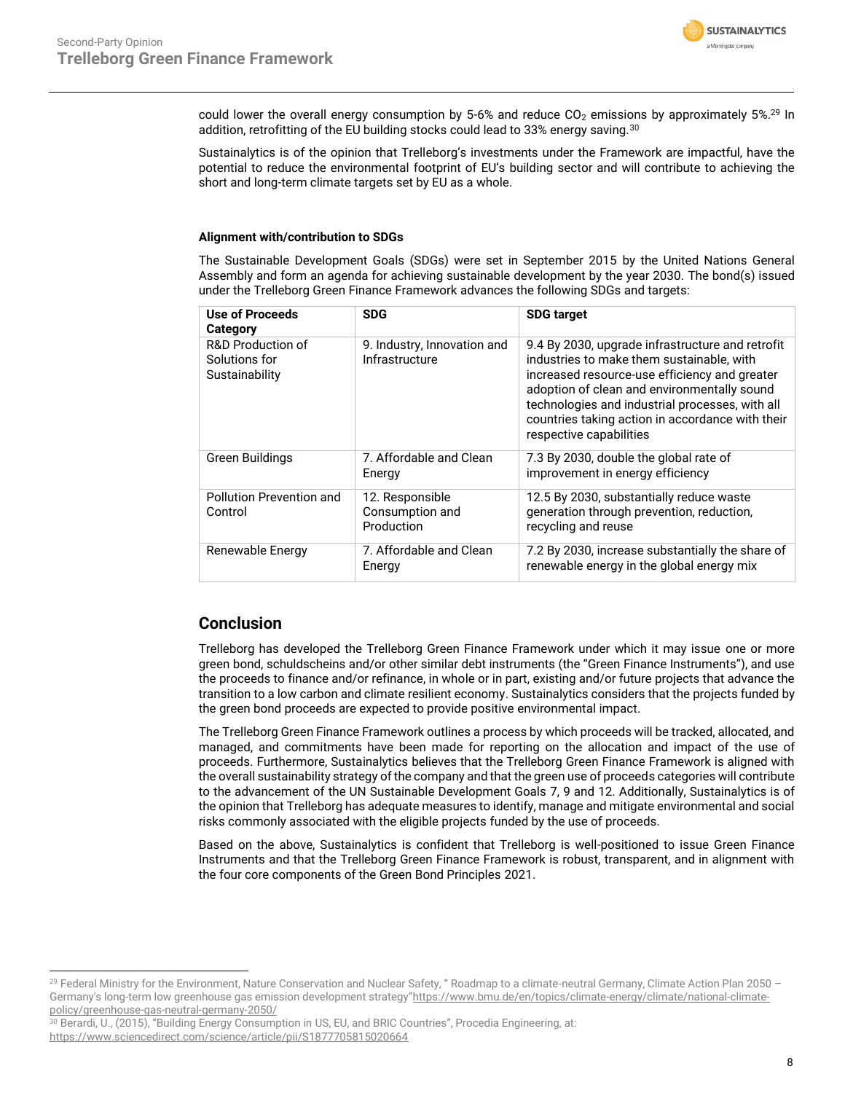

could lower the overall energy consumption by 5-6% and reduce  $CO<sub>2</sub>$  emissions by approximately 5%.<sup>29</sup> In addition, retrofitting of the EU building stocks could lead to 33% energy saving.<sup>30</sup>

Sustainalytics is of the opinion that Trelleborg's investments under the Framework are impactful, have the potential to reduce the environmental footprint of EU's building sector and will contribute to achieving the short and long-term climate targets set by EU as a whole.

### **Alignment with/contribution to SDGs**

The Sustainable Development Goals (SDGs) were set in September 2015 by the United Nations General Assembly and form an agenda for achieving sustainable development by the year 2030. The bond(s) issued under the Trelleborg Green Finance Framework advances the following SDGs and targets:

| Use of Proceeds<br>Category                          | <b>SDG</b>                                       | <b>SDG target</b>                                                                                                                                                                                                                                                                                                               |
|------------------------------------------------------|--------------------------------------------------|---------------------------------------------------------------------------------------------------------------------------------------------------------------------------------------------------------------------------------------------------------------------------------------------------------------------------------|
| R&D Production of<br>Solutions for<br>Sustainability | 9. Industry, Innovation and<br>Infrastructure    | 9.4 By 2030, upgrade infrastructure and retrofit<br>industries to make them sustainable, with<br>increased resource-use efficiency and greater<br>adoption of clean and environmentally sound<br>technologies and industrial processes, with all<br>countries taking action in accordance with their<br>respective capabilities |
| <b>Green Buildings</b>                               | 7. Affordable and Clean<br>Energy                | 7.3 By 2030, double the global rate of<br>improvement in energy efficiency                                                                                                                                                                                                                                                      |
| Pollution Prevention and<br>Control                  | 12. Responsible<br>Consumption and<br>Production | 12.5 By 2030, substantially reduce waste<br>generation through prevention, reduction,<br>recycling and reuse                                                                                                                                                                                                                    |
| Renewable Energy                                     | 7. Affordable and Clean<br>Energy                | 7.2 By 2030, increase substantially the share of<br>renewable energy in the global energy mix                                                                                                                                                                                                                                   |

### **Conclusion**

Trelleborg has developed the Trelleborg Green Finance Framework under which it may issue one or more green bond, schuldscheins and/or other similar debt instruments (the "Green Finance Instruments"), and use the proceeds to finance and/or refinance, in whole or in part, existing and/or future projects that advance the transition to a low carbon and climate resilient economy. Sustainalytics considers that the projects funded by the green bond proceeds are expected to provide positive environmental impact.

The Trelleborg Green Finance Framework outlines a process by which proceeds will be tracked, allocated, and managed, and commitments have been made for reporting on the allocation and impact of the use of proceeds. Furthermore, Sustainalytics believes that the Trelleborg Green Finance Framework is aligned with the overall sustainability strategy of the company and that the green use of proceeds categories will contribute to the advancement of the UN Sustainable Development Goals 7, 9 and 12. Additionally, Sustainalytics is of the opinion that Trelleborg has adequate measures to identify, manage and mitigate environmental and social risks commonly associated with the eligible projects funded by the use of proceeds.

Based on the above, Sustainalytics is confident that Trelleborg is well-positioned to issue Green Finance Instruments and that the Trelleborg Green Finance Framework is robust, transparent, and in alignment with the four core components of the Green Bond Principles 2021.

<span id="page-7-0"></span><sup>29</sup> Federal Ministry for the Environment, Nature Conservation and Nuclear Safety, " Roadmap to a climate-neutral Germany, Climate Action Plan 2050 – Germany's long-term low greenhouse gas emission development strategy"[https://www.bmu.de/en/topics/climate-energy/climate/national-climate](https://www.bmu.de/en/topics/climate-energy/climate/national-climate-policy/greenhouse-gas-neutral-germany-2050/)[policy/greenhouse-gas-neutral-germany-2050/](https://www.bmu.de/en/topics/climate-energy/climate/national-climate-policy/greenhouse-gas-neutral-germany-2050/)

<sup>&</sup>lt;sup>30</sup> Berardi, U., (2015), "Building Energy Consumption in US, EU, and BRIC Countries", Procedia Engineering, at: <https://www.sciencedirect.com/science/article/pii/S1877705815020664>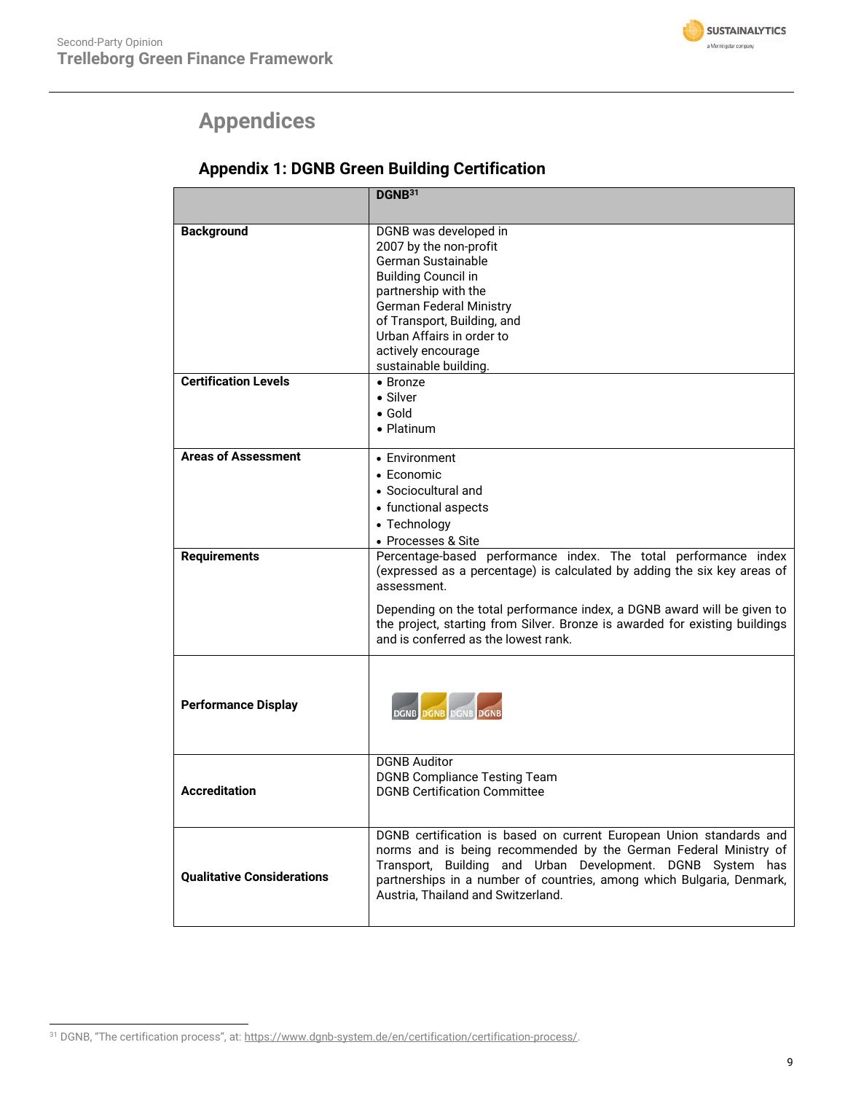

# **Appendices**

| <b>Appendix 1: DGNB Green Building Certification</b> |  |  |
|------------------------------------------------------|--|--|
|------------------------------------------------------|--|--|

|                                                  | DGNB <sup>31</sup>                                                                                                                                                                                                                                                                                                                                           |
|--------------------------------------------------|--------------------------------------------------------------------------------------------------------------------------------------------------------------------------------------------------------------------------------------------------------------------------------------------------------------------------------------------------------------|
| <b>Background</b><br><b>Certification Levels</b> | DGNB was developed in<br>2007 by the non-profit<br>German Sustainable<br><b>Building Council in</b><br>partnership with the<br><b>German Federal Ministry</b><br>of Transport, Building, and<br>Urban Affairs in order to<br>actively encourage<br>sustainable building.                                                                                     |
|                                                  | $\bullet$ Bronze<br>$\bullet$ Silver<br>$\bullet$ Gold<br>• Platinum                                                                                                                                                                                                                                                                                         |
| <b>Areas of Assessment</b>                       | • Environment<br>• Economic<br>• Sociocultural and<br>• functional aspects<br>• Technology<br>• Processes & Site                                                                                                                                                                                                                                             |
| <b>Requirements</b>                              | Percentage-based performance index. The total performance index<br>(expressed as a percentage) is calculated by adding the six key areas of<br>assessment.<br>Depending on the total performance index, a DGNB award will be given to<br>the project, starting from Silver. Bronze is awarded for existing buildings<br>and is conferred as the lowest rank. |
| <b>Performance Display</b>                       | <b>DGNB DGNB DGNB DGNB</b>                                                                                                                                                                                                                                                                                                                                   |
| <b>Accreditation</b>                             | <b>DGNB Auditor</b><br><b>DGNB Compliance Testing Team</b><br><b>DGNB Certification Committee</b>                                                                                                                                                                                                                                                            |
| <b>Qualitative Considerations</b>                | DGNB certification is based on current European Union standards and<br>norms and is being recommended by the German Federal Ministry of<br>Transport, Building and Urban Development. DGNB System has<br>partnerships in a number of countries, among which Bulgaria, Denmark,<br>Austria, Thailand and Switzerland.                                         |

<sup>&</sup>lt;sup>31</sup> DGNB, "The certification process", at: [https://www.dgnb-system.de/en/certification/certification-process/.](https://www.dgnb-system.de/en/certification/certification-process/)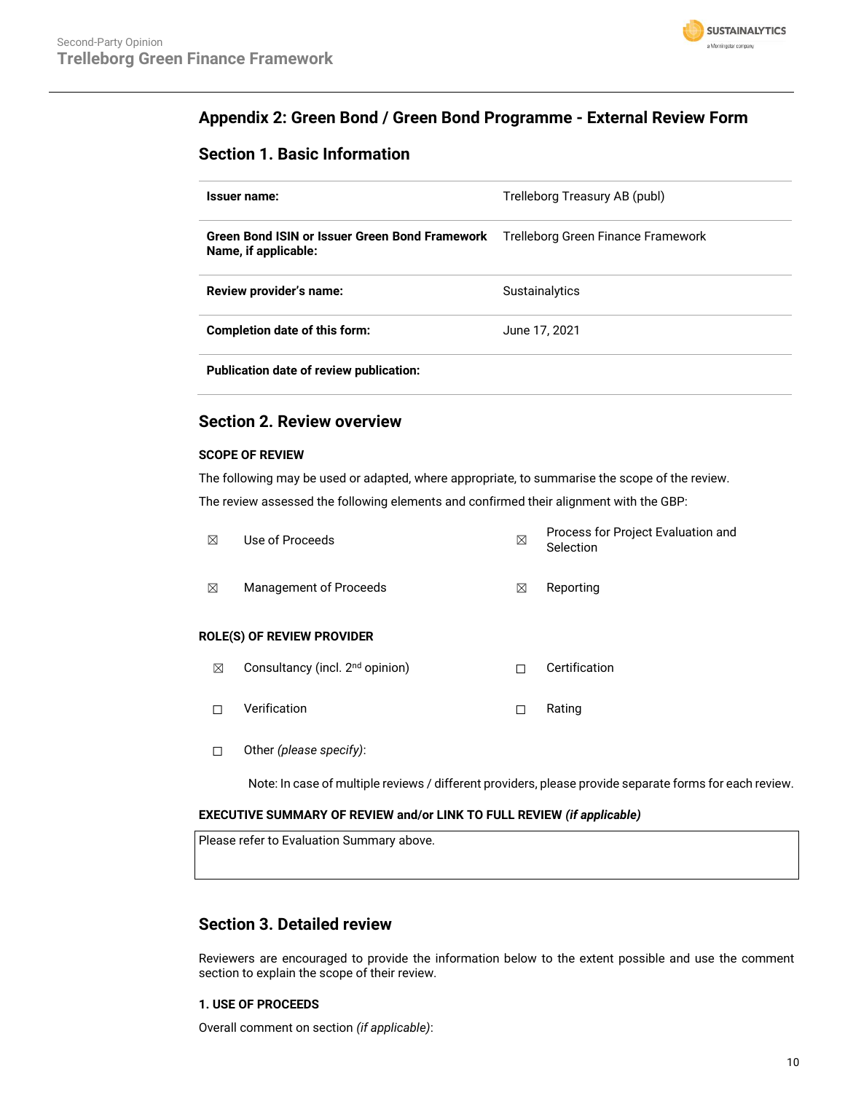

### **Appendix 2: Green Bond / Green Bond Programme - External Review Form**

### **Section 1. Basic Information**

| Issuer name:                                                           | Trelleborg Treasury AB (publ)      |
|------------------------------------------------------------------------|------------------------------------|
| Green Bond ISIN or Issuer Green Bond Framework<br>Name, if applicable: | Trelleborg Green Finance Framework |
| Review provider's name:                                                | <b>Sustainalytics</b>              |
| Completion date of this form:                                          | June 17, 2021                      |
| Publication date of review publication:                                |                                    |

### **Section 2. Review overview**

### **SCOPE OF REVIEW**

The following may be used or adapted, where appropriate, to summarise the scope of the review. The review assessed the following elements and confirmed their alignment with the GBP:

| ⊠ | Use of Proceeds                             | ⊠ | Process for Project Evaluation and<br>Selection |
|---|---------------------------------------------|---|-------------------------------------------------|
| ⊠ | Management of Proceeds                      | ⊠ | Reporting                                       |
|   | <b>ROLE(S) OF REVIEW PROVIDER</b>           |   |                                                 |
| ⊠ | Consultancy (incl. 2 <sup>nd</sup> opinion) |   | Certification                                   |

- ☐ Verification ☐ Rating
- ☐ Other *(please specify)*:

Note: In case of multiple reviews / different providers, please provide separate forms for each review.

### **EXECUTIVE SUMMARY OF REVIEW and/or LINK TO FULL REVIEW** *(if applicable)*

Please refer to Evaluation Summary above.

### **Section 3. Detailed review**

Reviewers are encouraged to provide the information below to the extent possible and use the comment section to explain the scope of their review.

### **1. USE OF PROCEEDS**

Overall comment on section *(if applicable)*: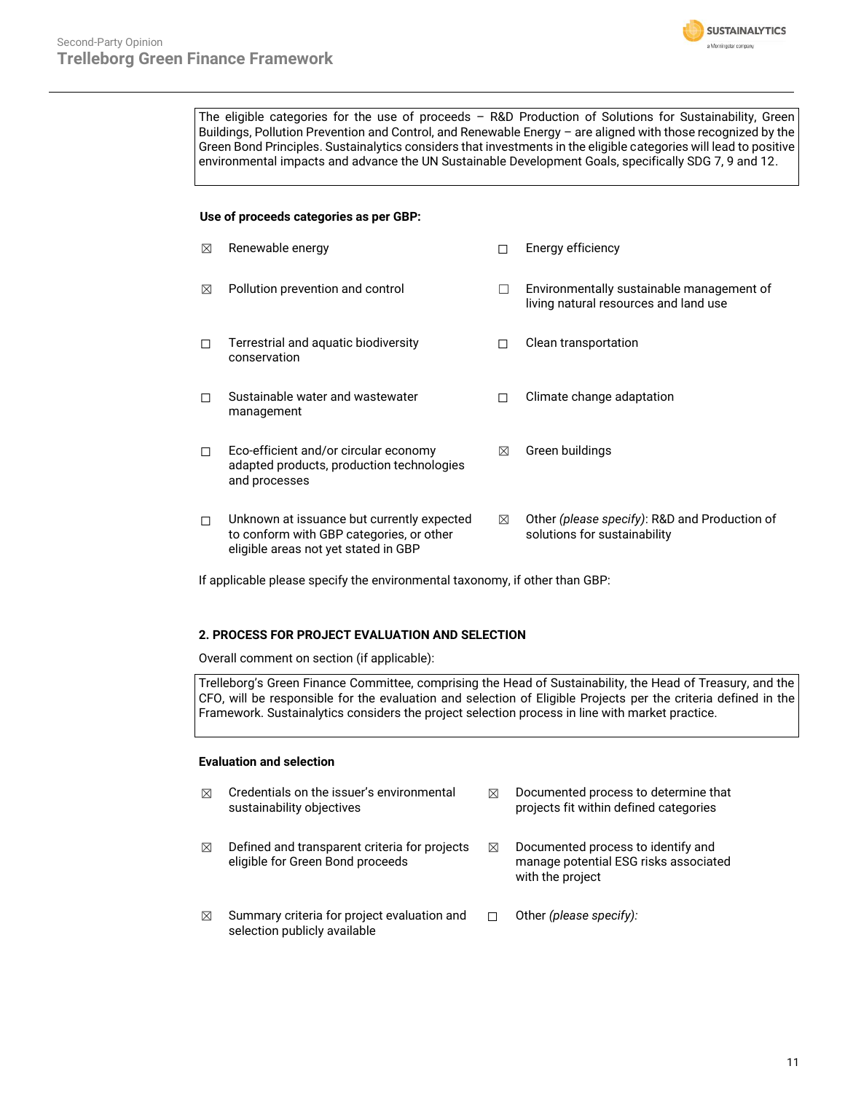

The eligible categories for the use of proceeds – R&D Production of Solutions for Sustainability, Green Buildings, Pollution Prevention and Control, and Renewable Energy – are aligned with those recognized by the Green Bond Principles. Sustainalytics considers that investments in the eligible categories will lead to positive environmental impacts and advance the UN Sustainable Development Goals, specifically SDG 7, 9 and 12.

### **Use of proceeds categories as per GBP:**

| ⊠      | Renewable energy                                                                                                               |   | Energy efficiency                                                                  |
|--------|--------------------------------------------------------------------------------------------------------------------------------|---|------------------------------------------------------------------------------------|
| ⊠      | Pollution prevention and control                                                                                               |   | Environmentally sustainable management of<br>living natural resources and land use |
| п      | Terrestrial and aquatic biodiversity<br>conservation                                                                           |   | Clean transportation                                                               |
| п      | Sustainable water and wastewater<br>management                                                                                 |   | Climate change adaptation                                                          |
| $\Box$ | Eco-efficient and/or circular economy<br>adapted products, production technologies<br>and processes                            | ⊠ | Green buildings                                                                    |
| $\Box$ | Unknown at issuance but currently expected<br>to conform with GBP categories, or other<br>eligible areas not yet stated in GBP | ⊠ | Other (please specify): R&D and Production of<br>solutions for sustainability      |

If applicable please specify the environmental taxonomy, if other than GBP:

### **2. PROCESS FOR PROJECT EVALUATION AND SELECTION**

Overall comment on section (if applicable):

Trelleborg's Green Finance Committee, comprising the Head of Sustainability, the Head of Treasury, and the CFO, will be responsible for the evaluation and selection of Eligible Projects per the criteria defined in the Framework. Sustainalytics considers the project selection process in line with market practice.

### **Evaluation and selection**

| $\boxtimes$ | Credentials on the issuer's environmental<br>sustainability objectives            | ⊠ | Documented process to determine that<br>projects fit within defined categories                  |
|-------------|-----------------------------------------------------------------------------------|---|-------------------------------------------------------------------------------------------------|
| ⊠           | Defined and transparent criteria for projects<br>eligible for Green Bond proceeds | ⊠ | Documented process to identify and<br>manage potential ESG risks associated<br>with the project |
| ⊠           | Summary criteria for project evaluation and<br>selection publicly available       |   | Other (please specify):                                                                         |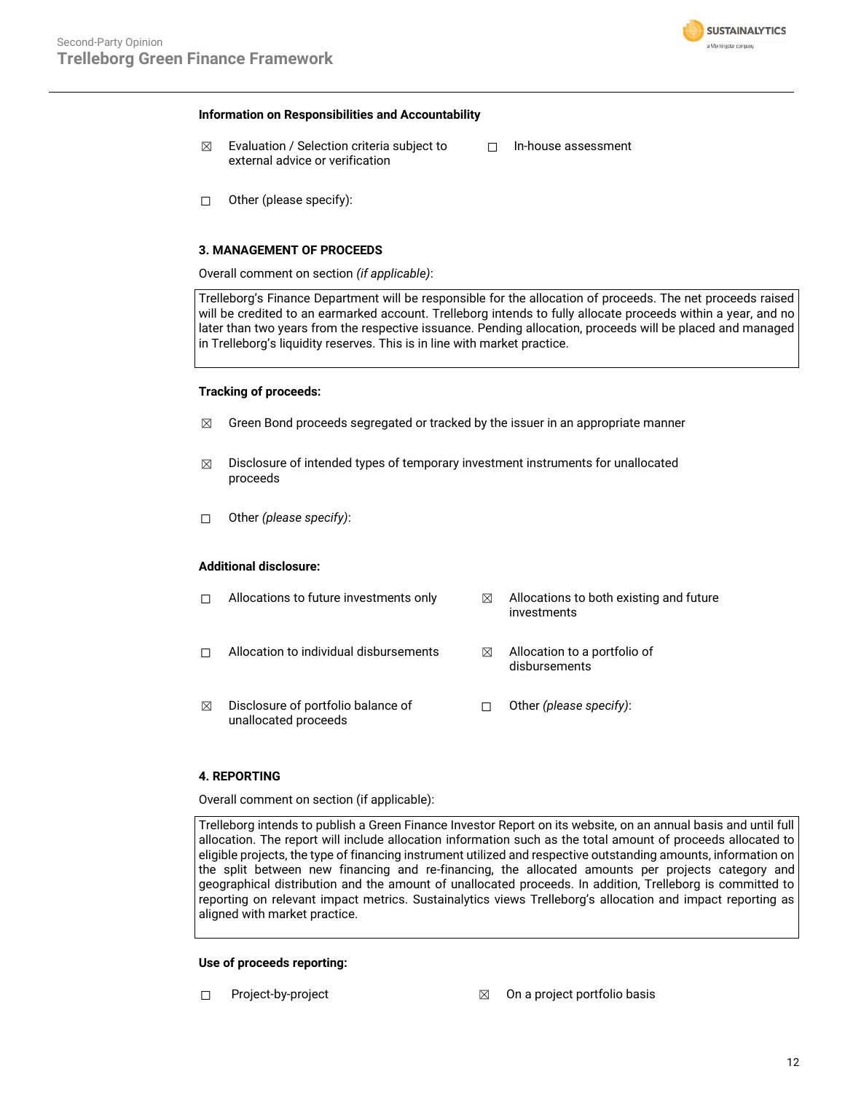

#### **Information on Responsibilities and Accountability**

- $\boxtimes$  Evaluation / Selection criteria subject to external advice or verification
- ☐ In-house assessment

 $\Box$  Other (please specify):

### **3. MANAGEMENT OF PROCEEDS**

Overall comment on section *(if applicable)*:

Trelleborg's Finance Department will be responsible for the allocation of proceeds. The net proceeds raised will be credited to an earmarked account. Trelleborg intends to fully allocate proceeds within a year, and no later than two years from the respective issuance. Pending allocation, proceeds will be placed and managed in Trelleborg's liquidity reserves. This is in line with market practice.

### **Tracking of proceeds:**

- $\boxtimes$  Green Bond proceeds segregated or tracked by the issuer in an appropriate manner
- $\boxtimes$  Disclosure of intended types of temporary investment instruments for unallocated proceeds
- ☐ Other *(please specify)*:

#### **Additional disclosure:**

|   | Allocations to future investments only                     | ⊠ | Allocations to both existing and future<br>investments |
|---|------------------------------------------------------------|---|--------------------------------------------------------|
|   | Allocation to individual disbursements                     | ⋈ | Allocation to a portfolio of<br>disbursements          |
| ⊠ | Disclosure of portfolio balance of<br>unallocated proceeds |   | Other (please specify):                                |

### **4. REPORTING**

Overall comment on section (if applicable):

Trelleborg intends to publish a Green Finance Investor Report on its website, on an annual basis and until full allocation. The report will include allocation information such as the total amount of proceeds allocated to eligible projects, the type of financing instrument utilized and respective outstanding amounts, information on the split between new financing and re-financing, the allocated amounts per projects category and geographical distribution and the amount of unallocated proceeds. In addition, Trelleborg is committed to reporting on relevant impact metrics. Sustainalytics views Trelleborg's allocation and impact reporting as aligned with market practice.

#### **Use of proceeds reporting:**

- 
- ☐ Project-by-project ☒ On a project portfolio basis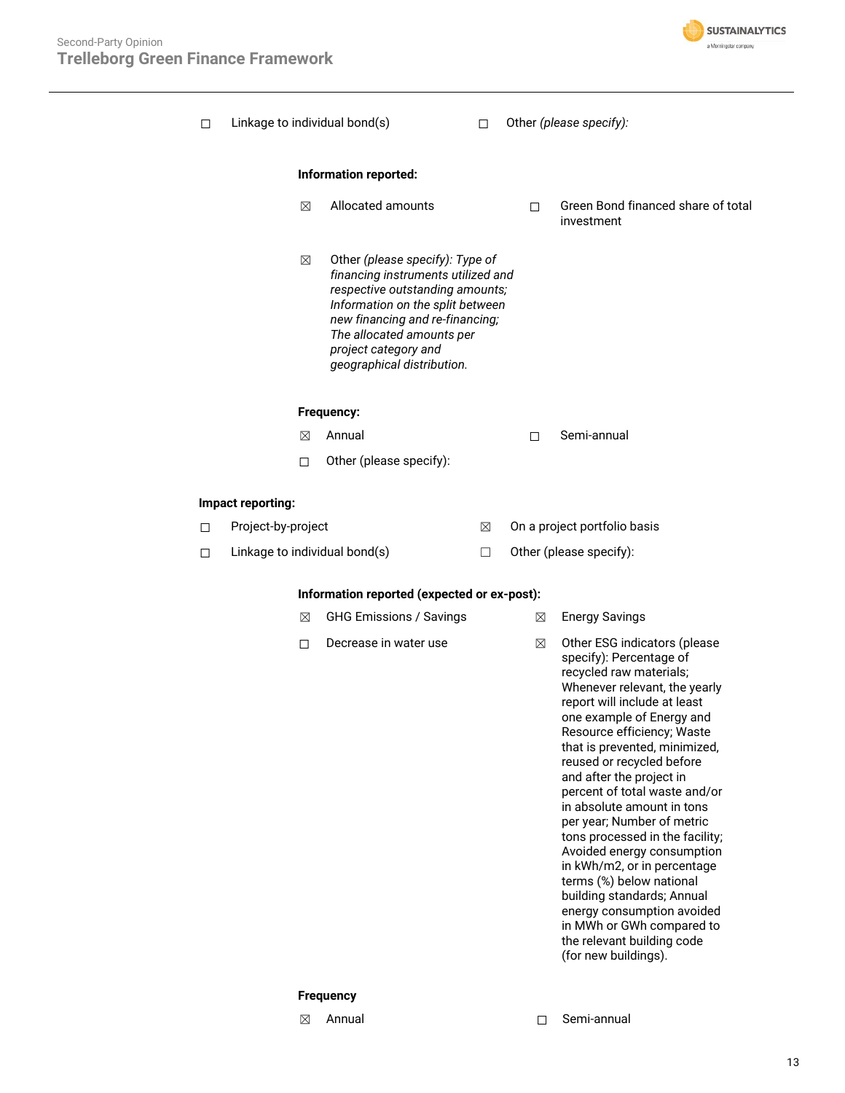

| □      |                    |   | Linkage to individual bond(s)                                                                                                                                                                                                                                      | п      |   | Other (please specify):                                                                                                                                                                                                                                                                                                                                                                                                                                                                                                                                                                                                                                                          |
|--------|--------------------|---|--------------------------------------------------------------------------------------------------------------------------------------------------------------------------------------------------------------------------------------------------------------------|--------|---|----------------------------------------------------------------------------------------------------------------------------------------------------------------------------------------------------------------------------------------------------------------------------------------------------------------------------------------------------------------------------------------------------------------------------------------------------------------------------------------------------------------------------------------------------------------------------------------------------------------------------------------------------------------------------------|
|        |                    |   | Information reported:                                                                                                                                                                                                                                              |        |   |                                                                                                                                                                                                                                                                                                                                                                                                                                                                                                                                                                                                                                                                                  |
|        |                    | X | Allocated amounts                                                                                                                                                                                                                                                  |        | П | Green Bond financed share of total<br>investment                                                                                                                                                                                                                                                                                                                                                                                                                                                                                                                                                                                                                                 |
|        |                    | ⊠ | Other (please specify): Type of<br>financing instruments utilized and<br>respective outstanding amounts;<br>Information on the split between<br>new financing and re-financing;<br>The allocated amounts per<br>project category and<br>geographical distribution. |        |   |                                                                                                                                                                                                                                                                                                                                                                                                                                                                                                                                                                                                                                                                                  |
|        |                    |   | <b>Frequency:</b>                                                                                                                                                                                                                                                  |        |   |                                                                                                                                                                                                                                                                                                                                                                                                                                                                                                                                                                                                                                                                                  |
|        |                    | ⊠ | Annual                                                                                                                                                                                                                                                             |        | П | Semi-annual                                                                                                                                                                                                                                                                                                                                                                                                                                                                                                                                                                                                                                                                      |
|        |                    | □ | Other (please specify):                                                                                                                                                                                                                                            |        |   |                                                                                                                                                                                                                                                                                                                                                                                                                                                                                                                                                                                                                                                                                  |
|        | Impact reporting:  |   |                                                                                                                                                                                                                                                                    |        |   |                                                                                                                                                                                                                                                                                                                                                                                                                                                                                                                                                                                                                                                                                  |
| $\Box$ | Project-by-project |   |                                                                                                                                                                                                                                                                    | ⊠      |   | On a project portfolio basis                                                                                                                                                                                                                                                                                                                                                                                                                                                                                                                                                                                                                                                     |
| П.     |                    |   | Linkage to individual bond(s)                                                                                                                                                                                                                                      | $\Box$ |   | Other (please specify):                                                                                                                                                                                                                                                                                                                                                                                                                                                                                                                                                                                                                                                          |
|        |                    |   | Information reported (expected or ex-post):                                                                                                                                                                                                                        |        |   |                                                                                                                                                                                                                                                                                                                                                                                                                                                                                                                                                                                                                                                                                  |
|        |                    | ⊠ | <b>GHG Emissions / Savings</b>                                                                                                                                                                                                                                     |        | ⊠ | <b>Energy Savings</b>                                                                                                                                                                                                                                                                                                                                                                                                                                                                                                                                                                                                                                                            |
|        |                    | П | Decrease in water use                                                                                                                                                                                                                                              |        | ⊠ | Other ESG indicators (please<br>specify): Percentage of<br>recycled raw materials;<br>Whenever relevant, the yearly<br>report will include at least<br>one example of Energy and<br>Resource efficiency; Waste<br>that is prevented, minimized,<br>reused or recycled before<br>and after the project in<br>percent of total waste and/or<br>in absolute amount in tons<br>per year; Number of metric<br>tons processed in the facility;<br>Avoided energy consumption<br>in kWh/m2, or in percentage<br>terms (%) below national<br>building standards; Annual<br>energy consumption avoided<br>in MWh or GWh compared to<br>the relevant building code<br>(for new buildings). |

### **Frequency**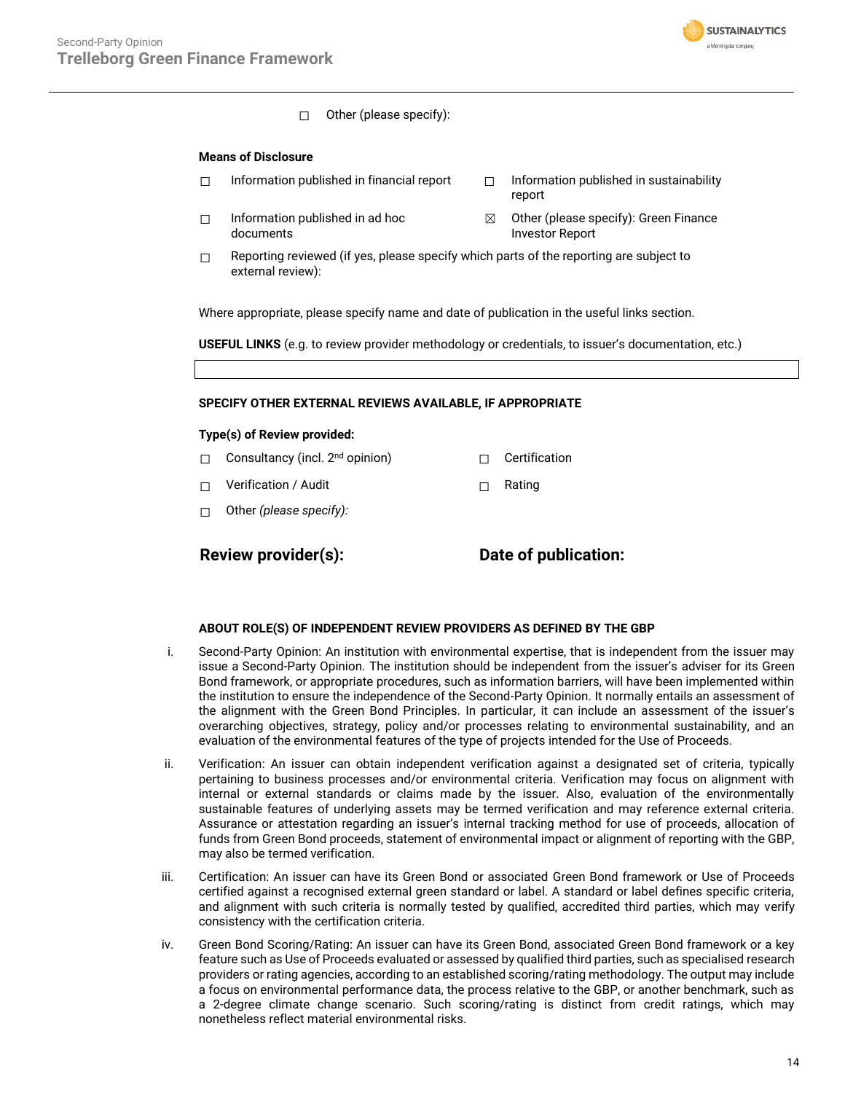

☐ Other (please specify):

#### **Means of Disclosure**

- 
- $\Box$  Information published in ad hoc documents
- □ Information published in financial report □ Information published in sustainability report
	- $\boxtimes$  Other (please specify): Green Finance Investor Report
- $\Box$  Reporting reviewed (if yes, please specify which parts of the reporting are subject to external review):

Where appropriate, please specify name and date of publication in the useful links section.

**USEFUL LINKS** (e.g. to review provider methodology or credentials, to issuer's documentation, etc.)

#### **SPECIFY OTHER EXTERNAL REVIEWS AVAILABLE, IF APPROPRIATE**

#### **Type(s) of Review provided:**

- □ Consultancy (incl. 2<sup>nd</sup> opinion) □ □ Certification
- ☐ Verification / Audit ☐ Rating
- ☐ Other *(please specify):*

**Review provider(s): Date of publication:**

#### **ABOUT ROLE(S) OF INDEPENDENT REVIEW PROVIDERS AS DEFINED BY THE GBP**

- i. Second-Party Opinion: An institution with environmental expertise, that is independent from the issuer may issue a Second-Party Opinion. The institution should be independent from the issuer's adviser for its Green Bond framework, or appropriate procedures, such as information barriers, will have been implemented within the institution to ensure the independence of the Second-Party Opinion. It normally entails an assessment of the alignment with the Green Bond Principles. In particular, it can include an assessment of the issuer's overarching objectives, strategy, policy and/or processes relating to environmental sustainability, and an evaluation of the environmental features of the type of projects intended for the Use of Proceeds.
- ii. Verification: An issuer can obtain independent verification against a designated set of criteria, typically pertaining to business processes and/or environmental criteria. Verification may focus on alignment with internal or external standards or claims made by the issuer. Also, evaluation of the environmentally sustainable features of underlying assets may be termed verification and may reference external criteria. Assurance or attestation regarding an issuer's internal tracking method for use of proceeds, allocation of funds from Green Bond proceeds, statement of environmental impact or alignment of reporting with the GBP, may also be termed verification.
- iii. Certification: An issuer can have its Green Bond or associated Green Bond framework or Use of Proceeds certified against a recognised external green standard or label. A standard or label defines specific criteria, and alignment with such criteria is normally tested by qualified, accredited third parties, which may verify consistency with the certification criteria.
- iv. Green Bond Scoring/Rating: An issuer can have its Green Bond, associated Green Bond framework or a key feature such as Use of Proceeds evaluated or assessed by qualified third parties, such as specialised research providers or rating agencies, according to an established scoring/rating methodology. The output may include a focus on environmental performance data, the process relative to the GBP, or another benchmark, such as a 2-degree climate change scenario. Such scoring/rating is distinct from credit ratings, which may nonetheless reflect material environmental risks.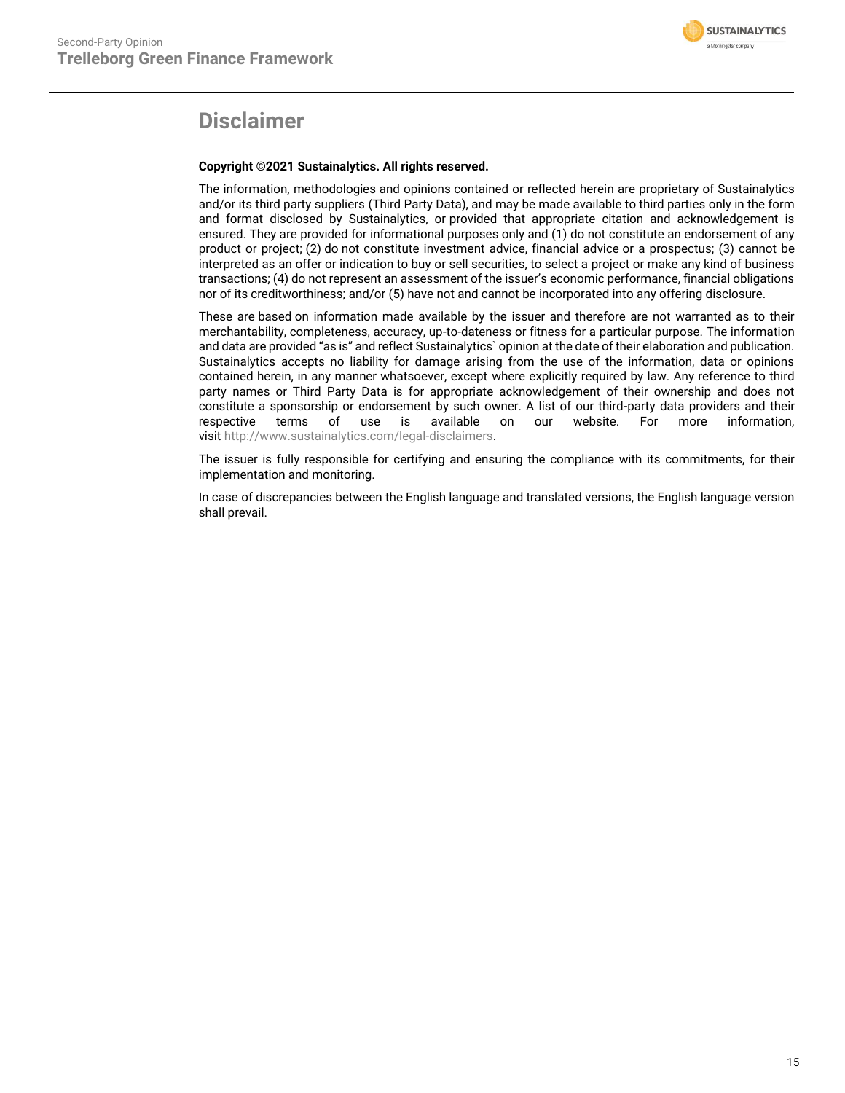

## **Disclaimer**

### **Copyright ©2021 Sustainalytics. All rights reserved.**

The information, methodologies and opinions contained or reflected herein are proprietary of Sustainalytics and/or its third party suppliers (Third Party Data), and may be made available to third parties only in the form and format disclosed by Sustainalytics, or provided that appropriate citation and acknowledgement is ensured. They are provided for informational purposes only and (1) do not constitute an endorsement of any product or project; (2) do not constitute investment advice, financial advice or a prospectus; (3) cannot be interpreted as an offer or indication to buy or sell securities, to select a project or make any kind of business transactions; (4) do not represent an assessment of the issuer's economic performance, financial obligations nor of its creditworthiness; and/or (5) have not and cannot be incorporated into any offering disclosure.

These are based on information made available by the issuer and therefore are not warranted as to their merchantability, completeness, accuracy, up-to-dateness or fitness for a particular purpose. The information and data are provided "as is" and reflect Sustainalytics` opinion at the date of their elaboration and publication. Sustainalytics accepts no liability for damage arising from the use of the information, data or opinions contained herein, in any manner whatsoever, except where explicitly required by law. Any reference to third party names or Third Party Data is for appropriate acknowledgement of their ownership and does not constitute a sponsorship or endorsement by such owner. A list of our third-party data providers and their respective terms of use is available on our website. For more information, visit [http://www.sustainalytics.com/legal-disclaimers.](http://www.sustainalytics.com/legal-disclaimers)

The issuer is fully responsible for certifying and ensuring the compliance with its commitments, for their implementation and monitoring.

In case of discrepancies between the English language and translated versions, the English language version shall prevail.